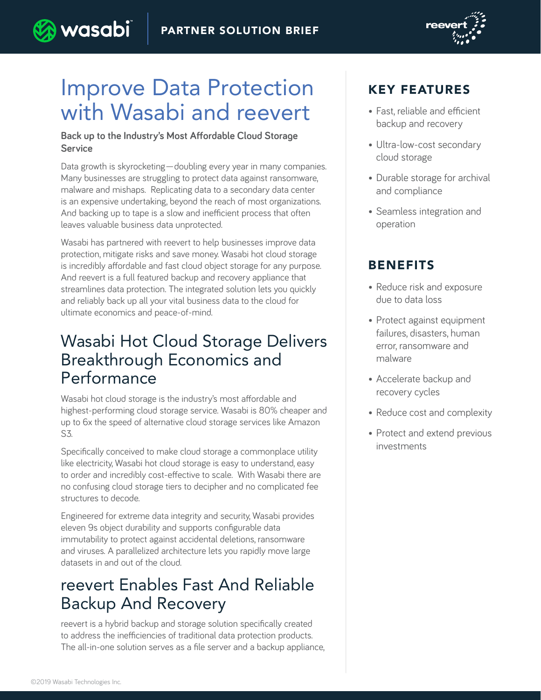

# Improve Data Protection with Wasabi and reevert

#### **Back up to the Industry's Most Affordable Cloud Storage Service**

wasabi

Data growth is skyrocketing—doubling every year in many companies. Many businesses are struggling to protect data against ransomware, malware and mishaps. Replicating data to a secondary data center is an expensive undertaking, beyond the reach of most organizations. And backing up to tape is a slow and inefficient process that often leaves valuable business data unprotected.

Wasabi has partnered with reevert to help businesses improve data protection, mitigate risks and save money. Wasabi hot cloud storage is incredibly affordable and fast cloud object storage for any purpose. And reevert is a full featured backup and recovery appliance that streamlines data protection. The integrated solution lets you quickly and reliably back up all your vital business data to the cloud for ultimate economics and peace-of-mind.

## Wasabi Hot Cloud Storage Delivers Breakthrough Economics and Performance

Wasabi hot cloud storage is the industry's most affordable and highest-performing cloud storage service. Wasabi is 80% cheaper and up to 6x the speed of alternative cloud storage services like Amazon S3.

Specifically conceived to make cloud storage a commonplace utility like electricity, Wasabi hot cloud storage is easy to understand, easy to order and incredibly cost-effective to scale. With Wasabi there are no confusing cloud storage tiers to decipher and no complicated fee structures to decode.

Engineered for extreme data integrity and security, Wasabi provides eleven 9s object durability and supports configurable data immutability to protect against accidental deletions, ransomware and viruses. A parallelized architecture lets you rapidly move large datasets in and out of the cloud.

## reevert Enables Fast And Reliable Backup And Recovery

reevert is a hybrid backup and storage solution specifically created to address the inefficiencies of traditional data protection products. The all-in-one solution serves as a file server and a backup appliance,

### KEY FEATURES

- Fast, reliable and efficient backup and recovery
- Ultra-low-cost secondary cloud storage
- Durable storage for archival and compliance
- Seamless integration and operation

### BENEFITS

- Reduce risk and exposure due to data loss
- Protect against equipment failures, disasters, human error, ransomware and malware
- Accelerate backup and recovery cycles
- Reduce cost and complexity
- Protect and extend previous investments